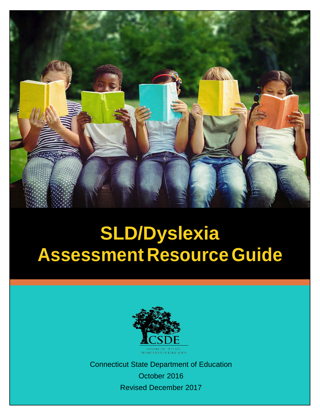

# **SLD/Dyslexia Assessment Resource Guide**



Connecticut State Department of Education October 2016 Revised December 2017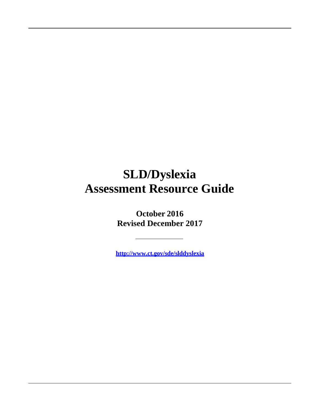## **SLD/Dyslexia Assessment Resource Guide**

**October 2016 Revised December 2017**

**<http://www.ct.gov/sde/slddyslexia>**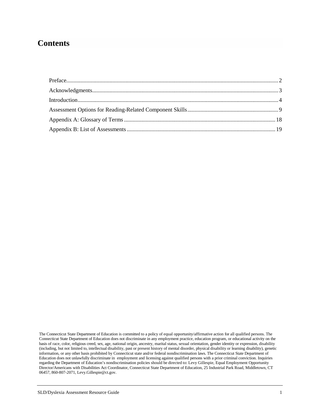## **Contents**

The Connecticut State Department of Education is committed to a policy of equal opportunity/affirmative action for all qualified persons. The Connecticut State Department of Education does not discriminate in any employment practice, education program, or educational activity on the basis of race, color, religious creed, sex, age, national origin, ancestry, marital status, sexual orientation, gender identity or expression, disability (including, but not limited to, intellectual disability, past or present history of mental disorder, physical disability or learning disability), genetic information, or any other basis prohibited by Connecticut state and/or federal nondiscrimination laws. The Connecticut State Department of Education does not unlawfully discriminate in employment and licensing against qualified persons with a prior criminal conviction. Inquiries regarding the Department of Education's nondiscrimination policies should be directed to: Levy Gillespie, Equal Employment Opportunity Director/Americans with Disabilities Act Coordinator, Connecticut State Department of Education, 25 Industrial Park Road, Middletown, CT 06457, 860-807-2071, Levy.Gillespie@ct.gov.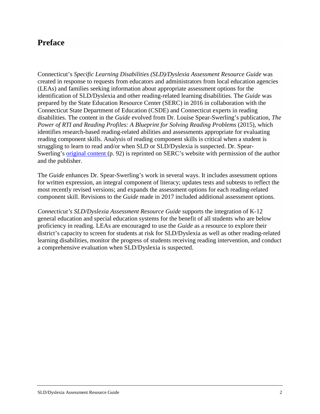## <span id="page-3-0"></span>**Preface**

Connecticut's *Specific Learning Disabilities (SLD)/Dyslexia Assessment Resource Guide* was created in response to requests from educators and administrators from local education agencies (LEAs) and families seeking information about appropriate assessment options for the identification of SLD/Dyslexia and other reading-related learning disabilities. The *Guide* was prepared by the State Education Resource Center (SERC) in 2016 in collaboration with the Connecticut State Department of Education (CSDE) and Connecticut experts in reading disabilities. The content in the *Guide* evolved from Dr. Louise Spear-Swerling's publication, *The Power of RTI and Reading Profiles: A Blueprint for Solving Reading Problems* (2015), which identifies research-based reading-related abilities and assessments appropriate for evaluating reading component skills. Analysis of reading component skills is critical when a student is struggling to learn to read and/or when SLD or SLD/Dyslexia is suspected. Dr. SpearSwerling's <u>[original content](http://www.ctserc.org/assets/documents/initiatives/specific-learning-disabilities-dyslexia/2016/Doc-Oct-03-2016-0914.pdf)</u> (p. 92) is reprinted on SERC's website with permission of the author and the publisher.

The *Guide* enhances Dr. Spear-Swerling's work in several ways. It includes assessment options for written expression, an integral component of literacy; updates tests and subtests to reflect the most recently revised versions; and expands the assessment options for each reading-related component skill. Revisions to the *Guide* made in 2017 included additional assessment options.

*Connecticut's SLD/Dyslexia Assessment Resource Guide* supports the integration of K-12 general education and special education systems for the benefit of all students who are below proficiency in reading. LEAs are encouraged to use the *Guide* as a resource to explore their district's capacity to screen for students at risk for SLD/Dyslexia as well as other reading-related learning disabilities, monitor the progress of students receiving reading intervention, and conduct a comprehensive evaluation when SLD/Dyslexia is suspected.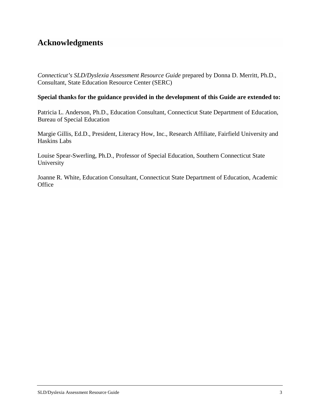## <span id="page-4-0"></span>**Acknowledgments**

*Connecticut's SLD/Dyslexia Assessment Resource Guide* prepared by Donna D. Merritt, Ph.D., Consultant, State Education Resource Center (SERC)

#### **Special thanks for the guidance provided in the development of this Guide are extended to:**

Patricia L. Anderson, Ph.D., Education Consultant, Connecticut State Department of Education, Bureau of Special Education

Margie Gillis, Ed.D., President, Literacy How, Inc., Research Affiliate, Fairfield University and Haskins Labs

Louise Spear-Swerling, Ph.D., Professor of Special Education, Southern Connecticut State University

Joanne R. White, Education Consultant, Connecticut State Department of Education, Academic **Office**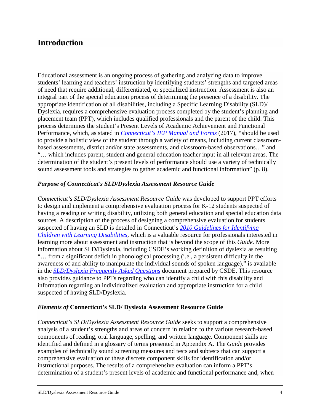## <span id="page-5-0"></span>**Introduction**

Educational assessment is an ongoing process of gathering and analyzing data to improve students' learning and teachers' instruction by identifying students' strengths and targeted areas of need that require additional, differentiated, or specialized instruction. Assessment is also an integral part of the special education process of determining the presence of a disability. The appropriate identification of all disabilities, including a Specific Learning Disability (SLD)/ Dyslexia, requires a comprehensive evaluation process completed by the student's planning and placement team (PPT), which includes qualified professionals and the parent of the child. This process determines the student's Present Levels of Academic Achievement and Functional Performance, which, as stated in *[Connecticut's IEP Manual and Forms](https://authoring.ct.egov.com/-/media/SDE/Special-Education/IEPmanual.pdf)* (2017), *"*should be used to provide a holistic view of the student through a variety of means, including current classroombased assessments, district and/or state assessments, and classroom-based observations…" and "… which includes parent, student and general education teacher input in all relevant areas. The determination of the student's present levels of performance should use a variety of technically sound assessment tools and strategies to gather academic and functional information" (p. 8).

#### *Purpose of Connecticut's SLD/Dyslexia Assessment Resource Guide*

*Connecticut's SLD/Dyslexia Assessment Resource Guide* was developed to support PPT efforts to design and implement a comprehensive evaluation process for K-12 students suspected of having a reading or writing disability, utilizing both general education and special education data sources. A description of the process of designing a comprehensive evaluation for students suspected of having an SLD is detailed in Connecticut's *[2010 Guidelines for Identifying](https://authoring.ct.egov.com/-/media/SDE/Special-Education/2010_Learning_Disability_Guidelines_Acc.pdf)  [Children with Learning Disabilities](https://authoring.ct.egov.com/-/media/SDE/Special-Education/2010_Learning_Disability_Guidelines_Acc.pdf)*, which is a valuable resource for professionals interested in learning more about assessment and instruction that is beyond the scope of this *Guide*. More information about SLD/Dyslexia, including CSDE's working definition of dyslexia as resulting "… from a significant deficit in phonological processing (i.e., a persistent difficulty in the awareness of and ability to manipulate the individual sounds of spoken language)," is available in the *[SLD/Dyslexia Frequently Asked Questions](https://authoring.ct.egov.com/-/media/SDE/Special-Education/SLD_Workgroup/SLD_Dyslexia_FAQ.pdf)* document prepared by CSDE. This resource also provides guidance to PPTs regarding who can identify a child with this disability and information regarding an individualized evaluation and appropriate instruction for a child suspected of having SLD/Dyslexia.

#### *Elements of* **Connecticut's SLD/ Dyslexia Assessment Resource Guide**

*Connecticut's SLD/Dyslexia Assessment Resource Guide* seeks to support a comprehensive analysis of a student's strengths and areas of concern in relation to the various research-based components of reading, oral language, spelling, and written language. Component skills are identified and defined in a glossary of terms presented in Appendix A. The *Guide* provides examples of technically sound screening measures and tests and subtests that can support a comprehensive evaluation of these discrete component skills for identification and/or instructional purposes. The results of a comprehensive evaluation can inform a PPT's determination of a student's present levels of academic and functional performance and, when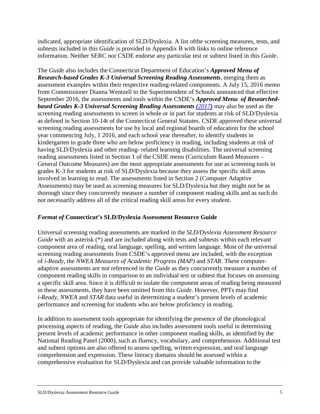indicated, appropriate identification of SLD/Dyslexia. A list ofthe screening measures, tests, and subtests included in this *Guide* is provided in Appendix B with links to online reference information. Neither SERC nor CSDE endorse any particular test or subtest listed in this *Guide*.

The *Guide* also includes the Connecticut Department of Education's *[Approved](https://authoring.ct.egov.com/-/media/SDE/Language-Arts/Approved_Menu_of_Research_based_K3_Universal_Reading_Assessments_March_2017.pdf?la=en) Menu of [Research-based](https://authoring.ct.egov.com/-/media/SDE/Language-Arts/Approved_Menu_of_Research_based_K3_Universal_Reading_Assessments_March_2017.pdf?la=en) Grades K-3 Universal Screening Reading Assessments*, merging them as assessment examples within their respective reading-related components. A July 15, 2016 memo from Commissioner Dianna Wentzell to the Superintendent of Schools announced that effective September 2016, the assessments and tools within the CSDE's *Approved Menu of [Researched](https://authoring.ct.egov.com/-/media/SDE/Language-Arts/Approved_Menu_of_Research_based_K3_Universal_Reading_Assessments_March_2017.pdf?la=en)[based Grades](https://authoring.ct.egov.com/-/media/SDE/Language-Arts/Approved_Menu_of_Research_based_K3_Universal_Reading_Assessments_March_2017.pdf?la=en) K-3 Universal Screening Reading Assessments (2017)* may also be used as the screening reading assessments to screen in whole or in part for students at risk of SLD/Dyslexia as defined in Section 10-14t of the Connecticut General Statutes. CSDE approved these universal screening reading assessments for use by local and regional boards of education for the school year commencing July, 1 2016, and each school year thereafter, to identify students in kindergarten to grade three who are below proficiency in reading, including students at risk of having SLD/Dyslexia and other reading- related learning disabilities. The universal screening reading assessments listed in Section 1 of the CSDE menu (Curriculum Based Measures – General Outcome Measures) are the most appropriate assessments for use as screening tools in grades K-3 for students at risk of SLD/Dyslexia because they assess the specific skill areas involved in learning to read. The assessments listed in Section 2 (Computer Adaptive Assessments) may be used as screening measures for SLD/Dyslexia but they might not be as thorough since they concurrently measure a number of component reading skills and as such do not necessarily address all of the critical reading skill areas for every student.

#### *Format of* **Connecticut's SLD/Dyslexia Assessment Resource Guide**

Universal screening reading assessments are marked in the *SLD/Dyslexia Assessment Resource Guide* with an asterisk (\*) and are included along with tests and subtests within each relevant component area of reading, oral language, spelling, and written language. Most of the universal screening reading assessments from CSDE's approved menu are included, with the exception of *i-Ready*, the *NWEA Measures of Academic Progress (MAP)* and *STAR*. These computeradaptive assessments are not referenced in the *Guide* as they concurrently measure a number of component reading skills in comparison to an individual test or subtest that focuses on assessing a specific skill area. Since it is difficult to isolate the component areas of reading being measured in these assessments, they have been omitted from this *Guide*. However, PPTs may find *i-Ready, NWEA* and *STAR* data useful in determining a student's present levels of academic performance and screening for students who are below proficiency in reading.

In addition to assessment tools appropriate for identifying the presence of the phonological processing aspects of reading, the *Guide* also includes assessment tools useful in determining present levels of academic performance in other component reading skills, as identified by the National Reading Panel (2000), such as fluency, vocabulary, and comprehension. Additional test and subtest options are also offered to assess spelling, written expression, and oral language comprehension and expression. These literacy domains should be assessed within a comprehensive evaluation for SLD/Dyslexia and can provide valuable information to the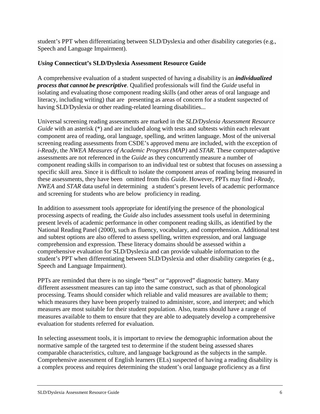student's PPT when differentiating between SLD/Dyslexia and other disability categories (e.g., Speech and Language Impairment).

#### *Using* **Connecticut's SLD/Dyslexia Assessment Resource Guide**

A comprehensive evaluation of a student suspected of having a disability is an *individualized process that cannot be prescriptive*. Qualified professionals will find the *Guide* useful in isolating and evaluating those component reading skills (and other areas of oral language and literacy, including writing) that are presenting as areas of concern for a student suspected of having SLD/Dyslexia or other reading-related learning disabilities...

Universal screening reading assessments are marked in the *SLD/Dyslexia Assessment Resource Guide* with an asterisk (\*) and are included along with tests and subtests within each relevant component area of reading, oral language, spelling, and written language. Most of the universal screening reading assessments from CSDE's approved menu are included, with the exception of *i-Ready*, the *NWEA Measures of Academic Progress (MAP)* and *STAR*. These computer-adaptive assessments are not referenced in the *Guide* as they concurrently measure a number of component reading skills in comparison to an individual test or subtest that focuses on assessing a specific skill area. Since it is difficult to isolate the component areas of reading being measured in these assessments, they have been omitted from this *Guide*. However, PPTs may find *i-Ready, NWEA* and *STAR* data useful in determining a student's present levels of academic performance and screening for students who are below proficiency in reading.

In addition to assessment tools appropriate for identifying the presence of the phonological processing aspects of reading, the *Guide* also includes assessment tools useful in determining present levels of academic performance in other component reading skills, as identified by the National Reading Panel (2000), such as fluency, vocabulary, and comprehension. Additional test and subtest options are also offered to assess spelling, written expression, and oral language comprehension and expression. These literacy domains should be assessed within a comprehensive evaluation for SLD/Dyslexia and can provide valuable information to the student's PPT when differentiating between SLD/Dyslexia and other disability categories (e.g., Speech and Language Impairment).

PPTs are reminded that there is no single "best" or "approved" diagnostic battery. Many different assessment measures can tap into the same construct, such as that of phonological processing. Teams should consider which reliable and valid measures are available to them; which measures they have been properly trained to administer, score, and interpret; and which measures are most suitable for their student population. Also, teams should have a range of measures available to them to ensure that they are able to adequately develop a comprehensive evaluation for students referred for evaluation.

In selecting assessment tools, it is important to review the demographic information about the normative sample of the targeted test to determine if the student being assessed shares comparable characteristics, culture, and language background as the subjects in the sample. Comprehensive assessment of English learners (ELs) suspected of having a reading disability is a complex process and requires determining the student's oral language proficiency as a first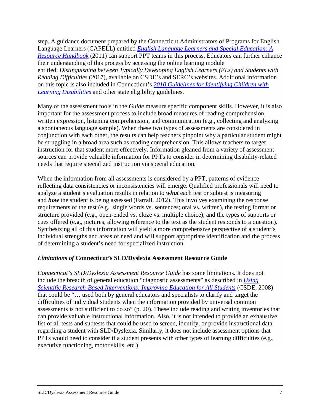step. A guidance document prepared by the Connecticut Administrators of Programs for English Language Learners (CAPELL) entitled *[English Language Learners and Special Education: A](https://authoring.ct.egov.com/-/media/SDE/English-Learners/CAPELL_SPED_resource_guide.pdf)  [Resource Handbook](https://authoring.ct.egov.com/-/media/SDE/English-Learners/CAPELL_SPED_resource_guide.pdf)* (2011) can support PPT teams in this process. Educators can further enhance their understanding of this process by accessing the online learning module entitled: *Distinguishing between Typically Developing English Learners (ELs) and Students with Reading Difficulties* (2017), available on CSDE's and SERC's websites. Additional information on this topic is also included in Connecticut's *[2010 Guidelines for Identifying Children with](https://authoring.ct.egov.com/-/media/SDE/Special-Education/2010_Learning_Disability_Guidelines_Acc.pdf)  [Learning Disabilities](https://authoring.ct.egov.com/-/media/SDE/Special-Education/2010_Learning_Disability_Guidelines_Acc.pdf)* and other state eligibility guidelines.

Many of the assessment tools in the *Guide* measure specific component skills. However, it is also important for the assessment process to include broad measures of reading comprehension, written expression, listening comprehension, and communication (e.g., collecting and analyzing a spontaneous language sample). When these two types of assessments are considered in conjunction with each other, the results can help teachers pinpoint why a particular student might be struggling in a broad area such as reading comprehension. This allows teachers to target instruction for that student more effectively. Information gleaned from a variety of assessment sources can provide valuable information for PPTs to consider in determining disability-related needs that require specialized instruction via special education.

When the information from all assessments is considered by a PPT, patterns of evidence reflecting data consistencies or inconsistencies will emerge. Qualified professionals will need to analyze a student's evaluation results in relation to *what* each test or subtest is measuring and *how* the student is being assessed (Farrall, 2012). This involves examining the response requirements of the test (e.g., single words vs. sentences; oral vs. written), the testing format or structure provided (e.g., open-ended vs. cloze vs. multiple choice), and the types of supports or cues offered (e.g., pictures, allowing reference to the text as the student responds to a question). Synthesizing all of this information will yield a more comprehensive perspective of a student's individual strengths and areas of need and will support appropriate identification and the process of determining a student's need for specialized instruction.

#### *Limitations of* **Connecticut's SLD/Dyslexia Assessment Resource Guide**

*Connecticut's SLD/Dyslexia Assessment Resource Guide* has some limitations. It does not include the breadth of general education "diagnostic assessments" as described in *[Using](https://authoring.ct.egov.com/-/media/SDE/Publications/edguide/srbi_full_document.pdf)  [Scientific Research-Based Interventions: Improving Education for All Students](https://authoring.ct.egov.com/-/media/SDE/Publications/edguide/srbi_full_document.pdf)* (CSDE, 2008) that could be "… used both by general educators and specialists to clarify and target the difficulties of individual students when the information provided by universal common assessments is not sufficient to do so" (p. 20). These include reading and writing inventories that can provide valuable instructional information. Also, it is not intended to provide an exhaustive list of all tests and subtests that could be used to screen, identify, or provide instructional data regarding a student with SLD/Dyslexia. Similarly, it does not include assessment options that PPTs would need to consider if a student presents with other types of learning difficulties (e.g., executive functioning, motor skills, etc.).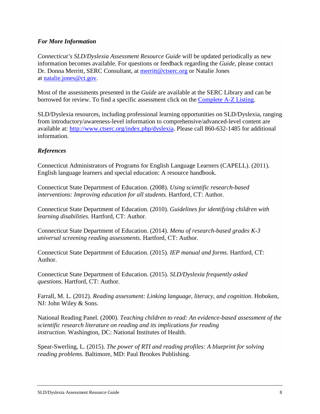#### *For More Information*

*Connecticut's SLD/Dyslexia Assessment Resource Guide* will be updated periodically as new information becomes available. For questions or feedback regarding the *Guide*, please contact Dr. Donna Merritt, SERC Consultant, at [merritt@ctserc.org](mailto:merritt@ctserc.org) or Natalie Jones at [natalie.jones@ct.gov.](mailto:natalie.jones@ct.gov)

Most of the assessments presented in the *Guide* are available at the SERC Library and can be borrowed for review. To find a specific assessment click on the [Complete A-Z Listing.](http://www.ctserc.libguides.com/content.php?pid=648739&sid=5408163)

SLD/Dyslexia resources, including professional learning opportunities on SLD/Dyslexia, ranging from introductory/awareness-level information to comprehensive/advanced-level content are available at: [http://www.ctserc.org/index.php/dyslexia.](http://www.ctserc.org/index.php/dyslexia) Please call 860-632-1485 for additional information.

#### *References*

Connecticut Administrators of Programs for English Language Learners (CAPELL). (2011). English language learners and special education: A resource handbook.

Connecticut State Department of Education. (2008). *Using scientific research-based interventions: Improving education for all students.* Hartford, CT: Author*.*

Connecticut State Department of Education. (2010). *Guidelines for identifying children with learning disabilities.* Hartford, CT: Author*.*

Connecticut State Department of Education. (2014). *Menu of research-based grades K-3 universal screening reading assessments*. Hartford, CT: Author.

Connecticut State Department of Education. (2015). *IEP manual and forms*. Hartford, CT: Author.

Connecticut State Department of Education. (2015). *SLD/Dyslexia frequently asked questions.* Hartford, CT: Author*.*

Farrall, M. L. (2012). *Reading assessment: Linking language, literacy, and cognition*. Hoboken, NJ: John Wiley & Sons.

National Reading Panel. (2000). *Teaching children to read: An evidence-based assessment of the scientific research literature on reading and its implications for reading instruction.* Washington, DC: National Institutes of Health.

Spear-Swerling, L. (2015). *The power of RTI and reading profiles: A blueprint for solving reading problems*. Baltimore, MD: Paul Brookes Publishing.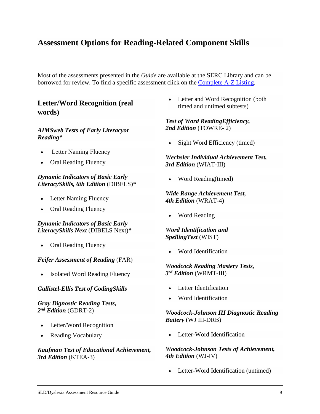## <span id="page-10-0"></span>**Assessment Options for Reading-Related Component Skills**

Most of the assessments presented in the *Guide* are available at the SERC Library and can be borrowed for review. To find a specific assessment click on the [Complete A-Z Listing.](http://www.ctserc.libguides.com/content.php?pid=648739&sid=5408163)

## **Letter/Word Recognition (real words)**

#### *AIMSweb Tests of Early Literacyor Reading\**

- Letter Naming Fluency
- Oral Reading Fluency

#### *Dynamic Indicators of Basic Early LiteracySkills, 6th Edition* (DIBELS)*\**

- Letter Naming Fluency
- Oral Reading Fluency

#### *Dynamic Indicators of Basic Early LiteracySkills Next* (DIBELS Next)*\**

• Oral Reading Fluency

#### *Feifer Assessment of Reading* (FAR)

**Isolated Word Reading Fluency** 

#### *Gallistel-Ellis Test of CodingSkills*

#### *Gray Dignostic Reading Tests, 2nd Edition* (GDRT-2)

- Letter/Word Recognition
- Reading Vocabulary

#### *Kaufman Test of Educational Achievement, 3rd Edition* (KTEA-3)

Letter and Word Recognition (both timed and untimed subtests)

#### *Test of Word ReadingEfficiency, 2nd Edition* (TOWRE- 2)

Sight Word Efficiency (timed)

#### *Wechsler Individual Achievement Test, 3rd Edition* (WIAT-III)

• Word Reading(timed)

#### *Wide Range Achievement Test, 4th Edition* (WRAT-4)

• Word Reading

#### *Word Identification and SpellingTest* (WIST)

• Word Identification

#### *Woodcock Reading Mastery Tests, 3rd Edition* (WRMT-III)

- Letter Identification
- Word Identification

#### *Woodcock-Johnson III Diagnostic Reading Battery* (WJ III-DRB)

Letter-Word Identification

#### *Woodcock-Johnson Tests of Achievement, 4th Edition* (WJ-IV)

Letter-Word Identification (untimed)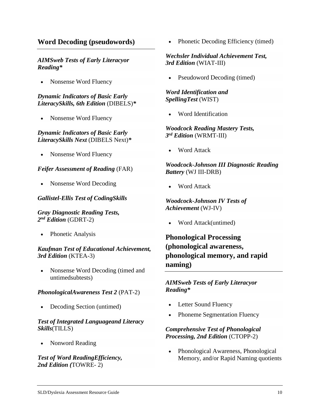### **Word Decoding (pseudowords)**

#### *AIMSweb Tests of Early Literacyor Reading\**

• Nonsense Word Fluency

#### *Dynamic Indicators of Basic Early LiteracySkills, 6th Edition* (DIBELS)*\**

• Nonsense Word Fluency

#### *Dynamic Indicators of Basic Early LiteracySkills Next* (DIBELS Next)*\**

• Nonsense Word Fluency

#### *Feifer Assessment of Reading* (FAR)

• Nonsense Word Decoding

#### *Gallistel-Ellis Test of CodingSkills*

*Gray Diagnostic Reading Tests, 2nd Edition* (GDRT-2)

• Phonetic Analysis

*Kaufman Test of Educational Achievement, 3rd Edition* (KTEA-3)

• Nonsense Word Decoding (timed and untimedsubtests)

#### *PhonologicalAwareness Test 2* (PAT-2)

• Decoding Section (untimed)

#### *Test of Integrated Languageand Literacy Skills*(TILLS)

• Nonword Reading

*Test of Word ReadingEfficiency, 2nd Edition (*TOWRE- 2)

Phonetic Decoding Efficiency (timed)

#### *Wechsler Individual Achievement Test, 3rd Edition* (WIAT-III)

Pseudoword Decoding (timed)

#### *Word Identification and SpellingTest* (WIST)

• Word Identification

#### *Woodcock Reading Mastery Tests, 3rd Edition* (WRMT-III)

**Word Attack** 

#### *Woodcock-Johnson III Diagnostic Reading Battery* (WJ III-DRB)

• Word Attack

*Woodcock-Johnson IV Tests of Achievement* (WJ-IV)

• Word Attack(untimed)

## **Phonological Processing (phonological awareness, phonological memory, and rapid naming)**

*AIMSweb Tests of Early Literacyor Reading\**

- Letter Sound Fluency
- Phoneme Segmentation Fluency

#### *Comprehensive Test of Phonological Processing, 2nd Edition* (CTOPP-2)

• Phonological Awareness, Phonological Memory, and/or Rapid Naming quotients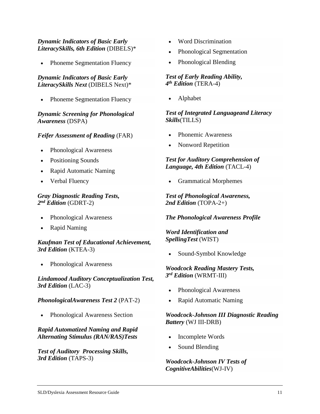#### *Dynamic Indicators of Basic Early LiteracySkills, 6th Edition* (DIBELS)\*

Phoneme Segmentation Fluency

#### *Dynamic Indicators of Basic Early LiteracySkills Next* (DIBELS Next)\*

Phoneme Segmentation Fluency

*Dynamic Screening for Phonological Awareness* (DSPA)

#### *Feifer Assessment of Reading* (FAR)

- Phonological Awareness
- Positioning Sounds
- Rapid Automatic Naming
- Verbal Fluency

#### *Gray Diagnostic Reading Tests, 2nd Edition* (GDRT-2)

- Phonological Awareness
- Rapid Naming

*Kaufman Test of Educational Achievement, 3rd Edition* (KTEA-3)

Phonological Awareness

*Lindamood Auditory Conceptualization Test, 3rd Edition* (LAC-3)

*PhonologicalAwareness Test 2* (PAT-2)

• Phonological Awareness Section

#### *Rapid Automatized Naming and Rapid Alternating Stimulus (RAN/RAS)Tests*

*Test of Auditory Processing Skills, 3rd Edition* (TAPS-3)

- Word Discrimination
- Phonological Segmentation
- Phonological Blending

#### *Test of Early Reading Ability, 4th Edition* (TERA-4)

• Alphabet

#### *Test of Integrated Languageand Literacy Skills*(TILLS)

- Phonemic Awareness
- Nonword Repetition

#### *Test for Auditory Comprehension of Language, 4th Edition* (TACL-4)

• Grammatical Morphemes

*Test of Phonological Awareness, 2nd Edition* (TOPA-2+)

#### *The Phonological Awareness Profile*

*Word Identification and SpellingTest* (WIST)

• Sound-Symbol Knowledge

#### *Woodcock Reading Mastery Tests, 3rd Edition* (WRMT-III)

- Phonological Awareness
- Rapid Automatic Naming

#### *Woodcock-Johnson III Diagnostic Reading Battery* (WJ III-DRB)

- Incomplete Words
- Sound Blending

#### *Woodcock-Johnson IV Tests of CognitiveAbilities*(WJ-IV)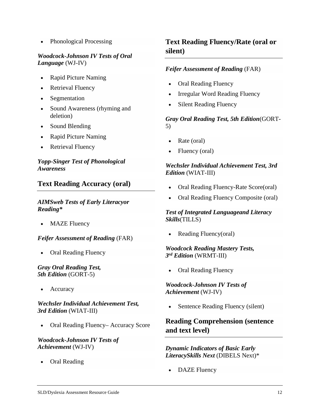• Phonological Processing

#### *Woodcock-Johnson IV Tests of Oral Language* (WJ-IV)

- Rapid Picture Naming
- Retrieval Fluency
- **Segmentation**
- Sound Awareness (rhyming and deletion)
- Sound Blending
- Rapid Picture Naming
- Retrieval Fluency

#### *Yopp-Singer Test of Phonological Awareness*

## **Text Reading Accuracy (oral)**

#### *AIMSweb Tests of Early Literacyor Reading\**

**MAZE** Fluency

#### *Feifer Assessment of Reading* (FAR)

• Oral Reading Fluency

#### *Gray Oral Reading Test, 5th Edition* (GORT-5)

**Accuracy** 

#### *Wechsler Individual Achievement Test, 3rd Edition* (WIAT-III)

• Oral Reading Fluency– Accuracy Score

#### *Woodcock-Johnson IV Tests of Achievement* (WJ-IV)

• Oral Reading

## **Text Reading Fluency/Rate (oral or silent)**

#### *Feifer Assessment of Reading* (FAR)

- Oral Reading Fluency
- Irregular Word Reading Fluency
- **Silent Reading Fluency**

#### *Gray Oral Reading Test, 5th Edition*(GORT-5)

- Rate (oral)
- Fluency (oral)

#### *Wechsler Individual Achievement Test, 3rd Edition* (WIAT-III)

- Oral Reading Fluency-Rate Score(oral)
- Oral Reading Fluency Composite (oral)

#### *Test of Integrated Languageand Literacy Skills*(TILLS)

• Reading Fluency(oral)

#### *Woodcock Reading Mastery Tests, 3rd Edition* (WRMT-III)

• Oral Reading Fluency

#### *Woodcock-Johnson IV Tests of Achievement* (WJ-IV)

Sentence Reading Fluency (silent)

## **Reading Comprehension (sentence and text level)**

#### *Dynamic Indicators of Basic Early LiteracySkills Next* (DIBELS Next)\*

DAZE Fluency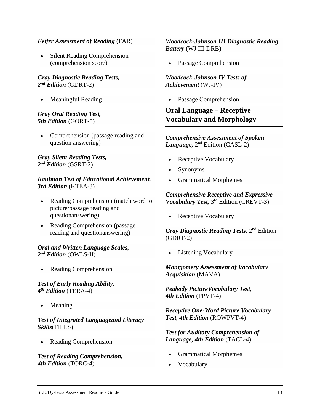#### *Feifer Assessment of Reading* (FAR)

**Silent Reading Comprehension** (comprehension score)

#### *Gray Diagnostic Reading Tests, 2nd Edition* (GDRT-2)

• Meaningful Reading

#### *Gray Oral Reading Test, 5th Edition* (GORT-5)

• Comprehension (passage reading and question answering)

#### *Gray Silent Reading Tests, 2nd Edition* (GSRT-2)

#### *Kaufman Test of Educational Achievement, 3rd Edition* (KTEA-3)

- Reading Comprehension (match word to picture/passage reading and questionanswering)
- Reading Comprehension (passage reading and questionanswering)

#### *Oral and Written Language Scales, 2nd Edition* (OWLS-II)

• Reading Comprehension

#### *Test of Early Reading Ability, 4th Edition* (TERA-4)

• Meaning

#### *Test of Integrated Languageand Literacy Skills*(TILLS)

• Reading Comprehension

*Test of Reading Comprehension, 4th Edition* (TORC-4)

#### *Woodcock-Johnson III Diagnostic Reading Battery* (WJ III-DRB)

Passage Comprehension

#### *Woodcock-Johnson IV Tests of Achievement* (WJ-IV)

Passage Comprehension

## **Oral Language – Receptive Vocabulary and Morphology**

#### *Comprehensive Assessment of Spoken Language,* 2nd Edition (CASL-2)

- Receptive Vocabulary
- Synonyms
- Grammatical Morphemes

#### *Comprehensive Receptive and Expressive Vocabulary Test,* 3rd Edition (CREVT-3)

Receptive Vocabulary

*Gray Diagnostic Reading Tests,* 2nd Edition (GDRT-2)

Listening Vocabulary

*Montgomery Assessment of Vocabulary Acquisition* (MAVA)

*Peabody PictureVocabulary Test, 4th Edition* (PPVT-4)

*Receptive One-Word Picture Vocabulary Test, 4th Edition* (ROWPVT-4)

*Test for Auditory Comprehension of Language, 4th Edition* (TACL-4)

- Grammatical Morphemes
- Vocabulary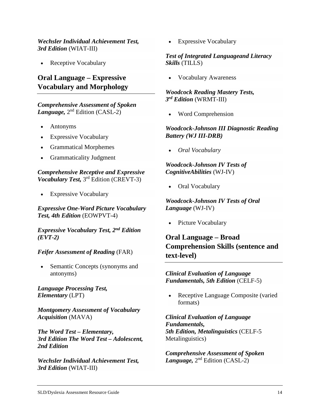#### *Wechsler Individual Achievement Test, 3rd Edition* (WIAT-III)

• Receptive Vocabulary

## **Oral Language – Expressive Vocabulary and Morphology**

#### *Comprehensive Assessment of Spoken Language,* 2nd Edition (CASL-2)

- Antonyms
- **Expressive Vocabulary**
- Grammatical Morphemes
- Grammaticality Judgment

*Comprehensive Receptive and Expressive Vocabulary Test,* 3rd Edition (CREVT-3)

• Expressive Vocabulary

*Expressive One-Word Picture Vocabulary Test, 4th Edition* (EOWPVT-4)

*Expressive Vocabulary Test, 2nd Edition (EVT-2)*

#### *Feifer Assessment of Reading* (FAR)

Semantic Concepts (synonyms and antonyms)

*Language Processing Test, Elementary* (LPT)

*Montgomery Assessment of Vocabulary Acquisition* (MAVA)

*The Word Test – Elementary, 3rd Edition The Word Test – Adolescent, 2nd Edition*

*Wechsler Individual Achievement Test, 3rd Edition* (WIAT-III)

• Expressive Vocabulary

#### *Test of Integrated Languageand Literacy Skills* (TILLS)

• Vocabulary Awareness

#### *Woodcock Reading Mastery Tests, 3rd Edition* (WRMT-III)

• Word Comprehension

#### *Woodcock-Johnson III Diagnostic Reading Battery (WJ III-DRB)*

• *Oral Vocabulary*

#### *Woodcock-Johnson IV Tests of CognitiveAbilities* (WJ-IV)

Oral Vocabulary

*Woodcock-Johnson IV Tests of Oral Language* (WJ-IV)

Picture Vocabulary

## **Oral Language – Broad Comprehension Skills (sentence and text-level)**

*Clinical Evaluation of Language Fundamentals, 5th Edition* (CELF-5)

• Receptive Language Composite (varied formats)

*Clinical Evaluation of Language Fundamentals, 5th Edition, Metalinguistics* (CELF-5 Metalinguistics)

*Comprehensive Assessment of Spoken Language,* 2nd Edition (CASL-2)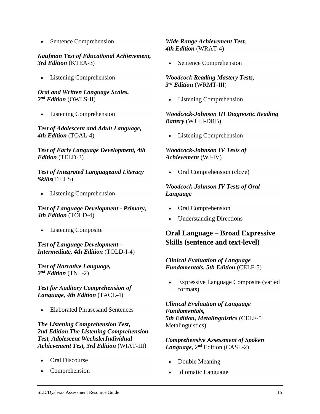• Sentence Comprehension

#### *Kaufman Test of Educational Achievement, 3rd Edition* (KTEA-3)

**Listening Comprehension** 

#### *Oral and Written Language Scales, 2nd Edition* (OWLS-II)

• Listening Comprehension

*Test of Adolescent and Adult Language, 4th Edition* (TOAL-4)

*Test of Early Language Development, 4th Edition* (TELD-3)

*Test of Integrated Languageand Literacy Skills*(TILLS)

• Listening Comprehension

*Test of Language Development - Primary, 4th Edition* (TOLD-4)

**Listening Composite** 

*Test of Language Development - Intermediate, 4th Edition* (TOLD-I-4)

*Test of Narrative Language, 2nd Edition* (TNL-2)

*Test for Auditory Comprehension of Language, 4th Edition* (TACL-4)

• Elaborated Phrasesand Sentences

*The Listening Comprehension Test, 2nd Edition The Listening Comprehension Test, Adolescent WechslerIndividual Achievement Test, 3rd Edition* (WIAT-III)

- Oral Discourse
- **Comprehension**

*Wide Range Achievement Test, 4th Edition* (WRAT-4)

Sentence Comprehension

*Woodcock Reading Mastery Tests, 3rd Edition* (WRMT-III)

**Listening Comprehension** 

#### *Woodcock-Johnson III Diagnostic Reading Battery* (WJ III-DRB)

**Listening Comprehension** 

#### *Woodcock-Johnson IV Tests of Achievement* (WJ-IV)

• Oral Comprehension (cloze)

#### *Woodcock-Johnson IV Tests of Oral Language*

- Oral Comprehension
- Understanding Directions

## **Oral Language – Broad Expressive Skills (sentence and text-level)**

#### *Clinical Evaluation of Language Fundamentals, 5th Edition* (CELF-5)

• Expressive Language Composite (varied formats)

*Clinical Evaluation of Language Fundamentals, 5th Edition, Metalinguistics* (CELF-5 Metalinguistics)

*Comprehensive Assessment of Spoken Language,* 2nd Edition (CASL-2)

- Double Meaning
- Idiomatic Language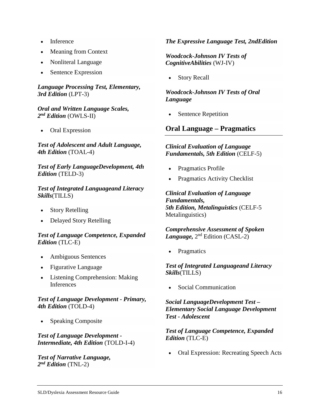- Inference
- Meaning from Context
- Nonliteral Language
- Sentence Expression

#### *Language Processing Test, Elementary, 3rd Edition* (LPT-3)

#### *Oral and Written Language Scales, 2nd Edition* (OWLS-II)

• Oral Expression

#### *Test of Adolescent and Adult Language, 4th Edition* (TOAL-4)

#### *Test of Early LanguageDevelopment, 4th Edition* (TELD-3)

#### *Test of Integrated Languageand Literacy Skills*(TILLS)

- **Story Retelling**
- Delayed Story Retelling

#### *Test of Language Competence, Expanded Edition* (TLC-E)

- Ambiguous Sentences
- Figurative Language
- Listening Comprehension: Making **Inferences**

#### *Test of Language Development - Primary, 4th Edition* (TOLD-4)

• Speaking Composite

#### *Test of Language Development - Intermediate, 4th Edition* (TOLD-I-4)

#### *Test of Narrative Language, 2nd Edition* (TNL-2)

#### *The Expressive Language Test, 2ndEdition*

#### *Woodcock-Johnson IV Tests of CognitiveAbilities* (WJ-IV)

Story Recall

#### *Woodcock-Johnson IV Tests of Oral Language*

Sentence Repetition

## **Oral Language – Pragmatics**

#### *Clinical Evaluation of Language Fundamentals, 5th Edition* (CELF-5)

- Pragmatics Profile
- Pragmatics Activity Checklist

*Clinical Evaluation of Language Fundamentals, 5th Edition, Metalinguistics* (CELF-5 Metalinguistics)

*Comprehensive Assessment of Spoken Language,* 2nd Edition (CASL-2)

**Pragmatics** 

*Test of Integrated Languageand Literacy Skills*(TILLS)

• Social Communication

*Social LanguageDevelopment Test – Elementary Social Language Development Test - Adolescent*

*Test of Language Competence, Expanded Edition* (TLC-E)

• Oral Expression: Recreating Speech Acts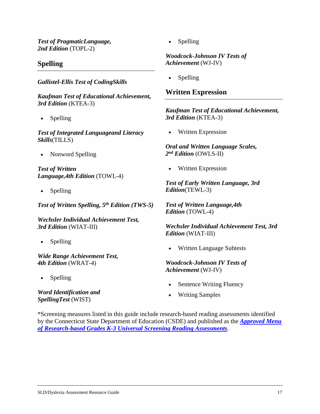*Test of PragmaticLanguage, 2nd Edition* (TOPL-2)

## **Spelling**

*Gallistel-Ellis Test of CodingSkills*

*Kaufman Test of Educational Achievement, 3rd Edition* (KTEA-3)

• Spelling

*Test of Integrated Languageand Literacy Skills*(TILLS)

• Nonword Spelling

*Test of Written Language,4th Edition* (TOWL-4)

**Spelling** 

*Test of Written Spelling, 5th Edition (TWS-5)*

*Wechsler Individual Achievement Test, 3rd Edition* (WIAT-III)

• Spelling

*Wide Range Achievement Test, 4th Edition* (WRAT-4)

**Spelling** 

*Word Identification and SpellingTest* (WIST)

• Spelling

*Woodcock-Johnson IV Tests of Achievement* (WJ-IV)

**Spelling** 

#### **Written Expression**

*Kaufman Test of Educational Achievement, 3rd Edition* (KTEA-3)

• Written Expression

*Oral and Written Language Scales, 2nd Edition* (OWLS-II)

• Written Expression

*Test of Early Written Language, 3rd Edition*(TEWL-3)

*Test of Written Language,4th Edition* (TOWL-4)

*Wechsler Individual Achievement Test, 3rd Edition* (WIAT-III)

• Written Language Subtests

*Woodcock-Johnson IV Tests of Achievement* (WJ-IV)

- Sentence Writing Fluency
- Writing Samples

\*Screening measures listed in this guide include research-based reading assessments identified by the Connecticut State Department of Education (CSDE) and published as the *[Approved Menu](https://authoring.ct.egov.com/-/media/SDE/Language-Arts/Approved_Menu_of_Research_based_K3_Universal_Reading_Assessments_March_2017.pdf)  [of Research-based Grades K-3 Universal Screening Reading Assessments](https://authoring.ct.egov.com/-/media/SDE/Language-Arts/Approved_Menu_of_Research_based_K3_Universal_Reading_Assessments_March_2017.pdf)*.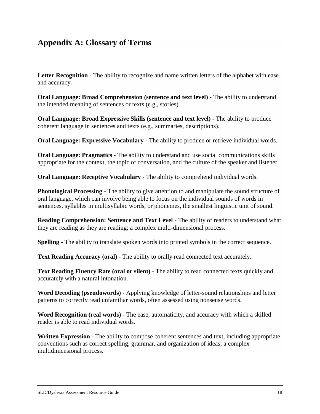## <span id="page-19-0"></span>**Appendix A: Glossary of Terms**

**Letter Recognition** - The ability to recognize and name written letters of the alphabet with ease and accuracy.

**Oral Language: Broad Comprehension (sentence and text level) -** The ability to understand the intended meaning of sentences or texts (e.g., stories).

**Oral Language: Broad Expressive Skills (sentence and text level) -** The ability to produce coherent language in sentences and texts (e.g., summaries, descriptions).

**Oral Language: Expressive Vocabulary** - The ability to produce or retrieve individual words.

**Oral Language: Pragmatics -** The ability to understand and use social communications skills appropriate for the context, the topic of conversation, and the culture of the speaker and listener.

**Oral Language: Receptive Vocabulary** - The ability to comprehend individual words.

**Phonological Processing -** The ability to give attention to and manipulate the sound structure of oral language, which can involve being able to focus on the individual sounds of words in sentences, syllables in multisyllabic words, or phonemes, the smallest linguistic unit of sound.

**Reading Comprehension: Sentence and Text Level -** The ability of readers to understand what they are reading as they are reading; a complex multi-dimensional process.

**Spelling -** The ability to translate spoken words into printed symbols in the correct sequence.

**Text Reading Accuracy (oral) -** The ability to orally read connected text accurately.

**Text Reading Fluency Rate (oral or silent) -** The ability to read connected texts quickly and accurately with a natural intonation.

**Word Decoding (pseudowords)** - Applying knowledge of letter-sound relationships and letter patterns to correctly read unfamiliar words, often assessed using nonsense words.

**Word Recognition (real words)** - The ease, automaticity, and accuracy with which a skilled reader is able to read individual words.

**Written Expression** - The ability to compose coherent sentences and text, including appropriate conventions such as correct spelling, grammar, and organization of ideas; a complex multidimensional process.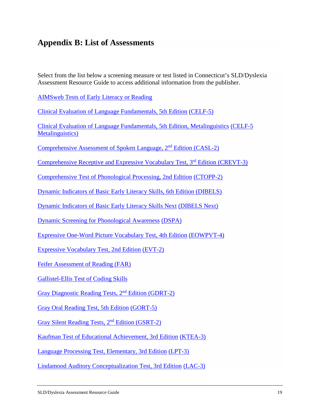## <span id="page-20-0"></span>**Appendix B: List of Assessments**

Select from the list below a screening measure or test listed in Connecticut's SLD/Dyslexia Assessment Resource Guide to access additional information from the publisher.

[AIMSweb Tests of Early Literacy or Reading](http://www.aimsweb.com/assessments/features/assessments/test-of-early-literacy)

[Clinical Evaluation of Language Fundamentals, 5th Edition](http://www.pearsonclinical.com/language/products/100000705/clinical-evaluation-of-language-fundamentals-fifth-edition-celf-5.html) [\(CELF-5\)](http://www.pearsonclinical.com/language/products/100000705/clinical-evaluation-of-language-fundamentals-fifth-edition-celf-5.html)

[Clinical Evaluation of Language Fundamentals, 5th Edition, Metalinguistics](http://www.pearsonclinical.com/language/products/100000783/clinical-evaluation-of-language-fundamentals-fifth-edition-metalinguistics-celf-5-metalinguistics.html#tab-details) [\(CELF-5](http://www.pearsonclinical.com/language/products/100000783/clinical-evaluation-of-language-fundamentals-fifth-edition-metalinguistics-celf-5-metalinguistics.html#tab-details)  [Metalinguistics\)](http://www.pearsonclinical.com/language/products/100000783/clinical-evaluation-of-language-fundamentals-fifth-edition-metalinguistics-celf-5-metalinguistics.html#tab-details)

[Comprehensive Assessment of Spoken Language, 2nd](https://www.wpspublish.com/store/p/3371/casl-2-comprehensive-assessment-of-spoken-language-second-edition) Edition (CASL-2)

[Comprehensive Receptive and Expressive Vocabulary Test, 3rd](http://www.proedinc.com/customer/productView.aspx?ID=5174) Edition (CREVT-3)

[Comprehensive Test of Phonological Processing, 2nd Edition](http://www.proedinc.com/customer/productView.aspx?ID=5187) [\(CTOPP-2\)](http://www.proedinc.com/customer/productView.aspx?ID=5187)

[Dynamic Indicators of Basic Early Literacy Skills, 6th Edition \(DIBELS\)](https://dibels.uoregon.edu/assessment/dibels)

[Dynamic Indicators of Basic Early Literacy Skills Next](https://dibels.uoregon.edu/market/assessment/dibels) [\(DIBELS Next\)](https://dibels.uoregon.edu/market/assessment/dibels)

[Dynamic Screening for Phonological Awareness](https://www.proedaust.com.au/dynamic-screening-for-phonological-awareness-dspa) [\(DSPA\)](https://www.proedaust.com.au/dynamic-screening-for-phonological-awareness-dspa)

[Expressive One-Word Picture Vocabulary Test, 4th Edition](http://www.proedinc.com/customer/productView.aspx?ID=2166) [\(EOWPVT-4\)](http://www.proedinc.com/customer/productView.aspx?ID=2166)

[Expressive Vocabulary Test, 2nd Edition](http://www.pearsonclinical.com/language/products/100000416/expressive-vocabulary-test-second-edition-evt-2.html) [\(EVT-2\)](http://www.pearsonclinical.com/language/products/100000416/expressive-vocabulary-test-second-edition-evt-2.html)

[Feifer Assessment of Reading \(FAR\)](http://www4.parinc.com/Products/Product.aspx?ProductID=FAR)

[Gallistel-Ellis Test of Coding Skills](http://www.montagepress.net/products-test-of-coding-skills.html)

[Gray Diagnostic Reading Tests, 2nd](http://www.proedinc.com/customer/productView.aspx?ID=3094) Edition (GDRT-2)

[Gray Oral Reading Test, 5th Edition](http://www4.parinc.com/products/Product.aspx?ProductID=GORT-5) [\(GORT-5\)](http://www4.parinc.com/products/Product.aspx?ProductID=GORT-5)

[Gray Silent Reading Tests, 2](http://www.proedinc.com/customer/productView.aspx?ID=3094)nd Edition (GSRT-2)

[Kaufman Test of Educational Achievement, 3rd Edition](http://www.pearsonclinical.com/education/products/100000777/kaufman-test-of-educational-achievement-third-edition-ktea-3.html) [\(KTEA-3\)](http://www.pearsonclinical.com/education/products/100000777/kaufman-test-of-educational-achievement-third-edition-ktea-3.html)

[Language Processing Test, Elementary, 3rd Edition](https://www.linguisystems.com/products/product/display?itemid=10360) [\(LPT-3\)](https://www.linguisystems.com/products/product/display?itemid=10360)

[Lindamood Auditory Conceptualization Test, 3rd Edition](http://www.proedinc.com/customer/productView.aspx?ID=967) [\(LAC-3\)](http://www.proedinc.com/customer/productView.aspx?ID=967)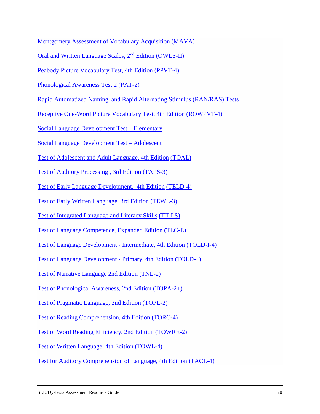[Montgomery Assessment of Vocabulary Acquisition](https://www.superduperinc.com/products/view.aspx?stid=479&.Vt3Ppk32Zy1) [\(MAVA\)](https://www.superduperinc.com/products/view.aspx?stid=479&.Vt3Ppk32Zy1)

Oral and Written [Language Scales, 2](http://www.pearsonclinical.com/language/products/100000293/owls-ii-lcoe-and-rcweoral-and-written-language-scales-second-edition-owls-ii.html)nd Edition (OWLS-II)

[Peabody Picture Vocabulary Test, 4th Edition](http://www.pearsonclinical.com/language/products/100000501/peabody-picture-vocabulary-test-fourth-edition-ppvt-4.html) [\(PPVT-4\)](http://www.pearsonclinical.com/language/products/100000501/peabody-picture-vocabulary-test-fourth-edition-ppvt-4.html)

[Phonological Awareness Test 2](https://www.linguisystems.com/products/product/display?itemid=10489) [\(PAT-2\)](https://www.linguisystems.com/products/product/display?itemid=10489)

[Rapid Automatized Naming](http://www.proedinc.com/customer/productView.aspx?ID=2706) [and Rapid Alternating Stimulus \(RAN/RAS\) Tests](http://www.proedinc.com/customer/productView.aspx?ID=2706)

[Receptive One-Word Picture Vocabulary Test, 4th Edition](http://www.pearsonclinical.com/language/products/100000338/expressive-and-receptive-one-word-picture-vocabulary-tests-fourth-edition-rowpvt-4-eowpvt-4.html) [\(ROWPVT-4\)](http://www.pearsonclinical.com/language/products/100000338/expressive-and-receptive-one-word-picture-vocabulary-tests-fourth-edition-rowpvt-4-eowpvt-4.html)

[Social Language Development Test –](https://www.superduperinc.com/products/view.aspx?stid=776&.WBCHY032YcA) Elementary

[Social Language Development Test –](https://www.linguisystems.com/products/product/display?itemid=10603) Adolescent

[Test of Adolescent and Adult Language, 4th Edition](https://www.linguisystems.com/products/product/display?itemid=10102) [\(TOAL\)](https://www.linguisystems.com/products/product/display?itemid=10102)

[Test of Auditory Processing , 3rd Edition](http://www.academictherapy.com/detailATP.tpl?eqskudatarq=8338-2) [\(TAPS-3\)](http://www.academictherapy.com/detailATP.tpl?eqskudatarq=8338-2)

[Test of Early Language Development, 4th Edition](http://www.proedinc.com/customer/productView.aspx?ID=1564) [\(TELD-4\)](http://www.proedinc.com/customer/productView.aspx?ID=1564)

[Test of Early Written Language, 3rd Edition](http://www.wpspublish.com/store/p/3028/test-of-early-written-language-third-edition-tewl-3) [\(TEWL-3\)](http://www.wpspublish.com/store/p/3028/test-of-early-written-language-third-edition-tewl-3)

[Test of Integrated Language and Literacy Skills](http://www.brookespublishing.com/resource-center/screening-and-assessment/tills/) [\(TILLS\)](http://www.brookespublishing.com/resource-center/screening-and-assessment/tills/)

[Test of Language Competence, Expanded Edition \(TLC-E\)](http://www.pearsonclinical.com/language/products/100000423/test-of-language-competence--expanded-edition-tlc-expanded.html#tab-details)

[Test of Language Development -](http://www.proedinc.com/customer/productView.aspx?ID=4229) Intermediate, 4th Edition [\(TOLD-I-4\)](http://www.proedinc.com/customer/productView.aspx?ID=4229)

[Test of Language Development -](http://www.proedinc.com/Customer/ProductView.aspx?ID=4233) Primary, 4th Edition [\(TOLD-4\)](http://www.proedinc.com/Customer/ProductView.aspx?ID=4233)

[Test of Narrative Language 2nd Edition \(TNL-2\)](https://www.linguisystems.com/products/product/display?itemid=10296)

[Test of Phonological Awareness, 2nd Edition \(TOPA-2+\)](https://www.linguisystems.com/products/product/display?itemid=10293)

[Test of Pragmatic Language, 2nd Edition](http://www.proedinc.com/customer/productView.aspx?ID=4169) [\(TOPL-2\)](http://www.proedinc.com/customer/productView.aspx?ID=4169)

[Test of Reading Comprehension, 4th Edition](http://www.proedinc.com/customer/productView.aspx?ID=4412) [\(TORC-4\)](http://www.proedinc.com/customer/productView.aspx?ID=4412)

[Test of Word Reading Efficiency, 2nd Edition](http://www.wpspublish.com/store/p/3061/test-of-word-reading-efficiency-second-edition-towre-2) [\(TOWRE-2\)](http://www.wpspublish.com/store/p/3061/test-of-word-reading-efficiency-second-edition-towre-2)

[Test of Written Language, 4th Edition](http://www.pearsonclinical.com/language/products/100000083/test-of-written-language-fourth-edition-towl-4.html) [\(TOWL-4\)](http://www.pearsonclinical.com/language/products/100000083/test-of-written-language-fourth-edition-towl-4.html)

[Test for Auditory Comprehension of Language, 4th Edition](https://www.linguisystems.com/products/product/display?itemid=10948) [\(TACL-4\)](https://www.linguisystems.com/products/product/display?itemid=10948)